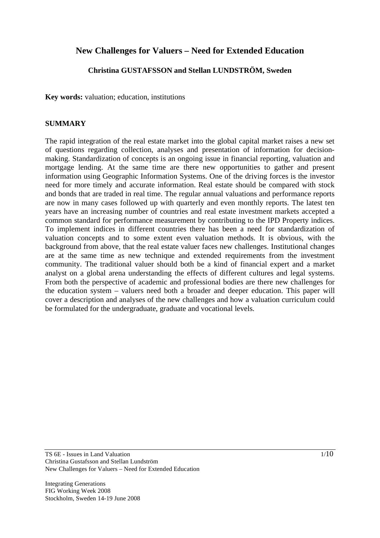# **New Challenges for Valuers – Need for Extended Education**

### **Christina GUSTAFSSON and Stellan LUNDSTRÖM, Sweden**

**Key words:** valuation; education, institutions

#### **SUMMARY**

The rapid integration of the real estate market into the global capital market raises a new set of questions regarding collection, analyses and presentation of information for decisionmaking. Standardization of concepts is an ongoing issue in financial reporting, valuation and mortgage lending. At the same time are there new opportunities to gather and present information using Geographic Information Systems. One of the driving forces is the investor need for more timely and accurate information. Real estate should be compared with stock and bonds that are traded in real time. The regular annual valuations and performance reports are now in many cases followed up with quarterly and even monthly reports. The latest ten years have an increasing number of countries and real estate investment markets accepted a common standard for performance measurement by contributing to the IPD Property indices. To implement indices in different countries there has been a need for standardization of valuation concepts and to some extent even valuation methods. It is obvious, with the background from above, that the real estate valuer faces new challenges. Institutional changes are at the same time as new technique and extended requirements from the investment community. The traditional valuer should both be a kind of financial expert and a market analyst on a global arena understanding the effects of different cultures and legal systems. From both the perspective of academic and professional bodies are there new challenges for the education system – valuers need both a broader and deeper education. This paper will cover a description and analyses of the new challenges and how a valuation curriculum could be formulated for the undergraduate, graduate and vocational levels.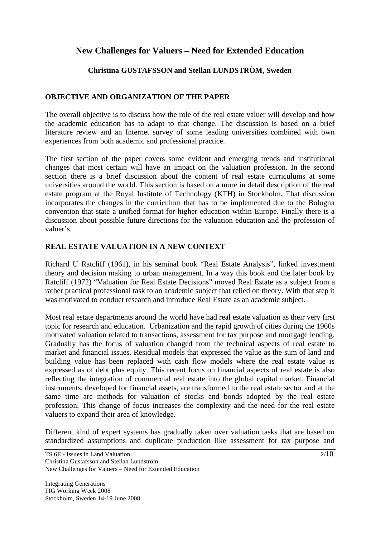# **New Challenges for Valuers – Need for Extended Education**

## **Christina GUSTAFSSON and Stellan LUNDSTRÖM, Sweden**

## **OBJECTIVE AND ORGANIZATION OF THE PAPER**

The overall objective is to discuss how the role of the real estate valuer will develop and how the academic education has to adapt to that change. The discussion is based on a brief literature review and an Internet survey of some leading universities combined with own experiences from both academic and professional practice.

The first section of the paper covers some evident and emerging trends and institutional changes that most certain will have an impact on the valuation profession. In the second section there is a brief discussion about the content of real estate curriculums at some universities around the world. This section is based on a more in detail description of the real estate program at the Royal Institute of Technology (KTH) in Stockholm. That discussion incorporates the changes in the curriculum that has to be implemented due to the Bologna convention that state a unified format for higher education within Europe. Finally there is a discussion about possible future directions for the valuation education and the profession of valuer's.

### **REAL ESTATE VALUATION IN A NEW CONTEXT**

Richard U Ratcliff (1961), in his seminal book "Real Estate Analysis", linked investment theory and decision making to urban management. In a way this book and the later book by Ratcliff (1972) "Valuation for Real Estate Decisions" moved Real Estate as a subject from a rather practical professional task to an academic subject that relied on theory. With that step it was motivated to conduct research and introduce Real Estate as an academic subject.

Most real estate departments around the world have had real estate valuation as their very first topic for research and education. Urbanization and the rapid growth of cities during the 1960s motivated valuation related to transactions, assessment for tax purpose and mortgage lending. Gradually has the focus of valuation changed from the technical aspects of real estate to market and financial issues. Residual models that expressed the value as the sum of land and building value has been replaced with cash flow models where the real estate value is expressed as of debt plus equity. This recent focus on financial aspects of real estate is also reflecting the integration of commercial real estate into the global capital market. Financial instruments, developed for financial assets, are transformed to the real estate sector and at the same time are methods for valuation of stocks and bonds adopted by the real estate profession. This change of focus increases the complexity and the need for the real estate valuers to expand their area of knowledge.

Different kind of expert systems has gradually taken over valuation tasks that are based on standardized assumptions and duplicate production like assessment for tax purpose and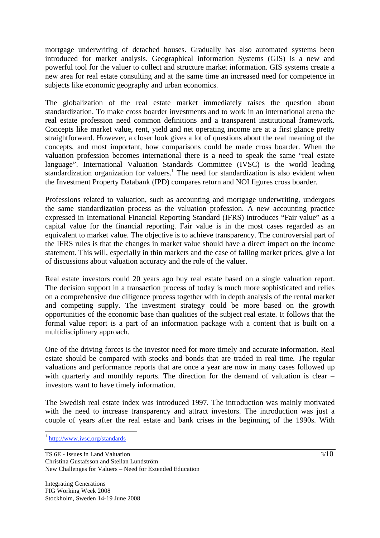mortgage underwriting of detached houses. Gradually has also automated systems been introduced for market analysis. Geographical information Systems (GIS) is a new and powerful tool for the valuer to collect and structure market information. GIS systems create a new area for real estate consulting and at the same time an increased need for competence in subjects like economic geography and urban economics.

The globalization of the real estate market immediately raises the question about standardization. To make cross boarder investments and to work in an international arena the real estate profession need common definitions and a transparent institutional framework. Concepts like market value, rent, yield and net operating income are at a first glance pretty straightforward. However, a closer look gives a lot of questions about the real meaning of the concepts, and most important, how comparisons could be made cross boarder. When the valuation profession becomes international there is a need to speak the same "real estate language". International Valuation Standards Committee (IVSC) is the world leading standardization organization for valuers.<sup>1</sup> The need for standardization is also evident when the Investment Property Databank (IPD) compares return and NOI figures cross boarder.

Professions related to valuation, such as accounting and mortgage underwriting, undergoes the same standardization process as the valuation profession. A new accounting practice expressed in International Financial Reporting Standard (IFRS) introduces "Fair value" as a capital value for the financial reporting. Fair value is in the most cases regarded as an equivalent to market value. The objective is to achieve transparency. The controversial part of the IFRS rules is that the changes in market value should have a direct impact on the income statement. This will, especially in thin markets and the case of falling market prices, give a lot of discussions about valuation accuracy and the role of the valuer.

Real estate investors could 20 years ago buy real estate based on a single valuation report. The decision support in a transaction process of today is much more sophisticated and relies on a comprehensive due diligence process together with in depth analysis of the rental market and competing supply. The investment strategy could be more based on the growth opportunities of the economic base than qualities of the subject real estate. It follows that the formal value report is a part of an information package with a content that is built on a multidisciplinary approach.

One of the driving forces is the investor need for more timely and accurate information. Real estate should be compared with stocks and bonds that are traded in real time. The regular valuations and performance reports that are once a year are now in many cases followed up with quarterly and monthly reports. The direction for the demand of valuation is clear – investors want to have timely information.

The Swedish real estate index was introduced 1997. The introduction was mainly motivated with the need to increase transparency and attract investors. The introduction was just a couple of years after the real estate and bank crises in the beginning of the 1990s. With

 $\overline{a}$ 

<sup>1</sup> http://www.ivsc.org/standards

TS 6E - Issues in Land Valuation Christina Gustafsson and Stellan Lundström New Challenges for Valuers – Need for Extended Education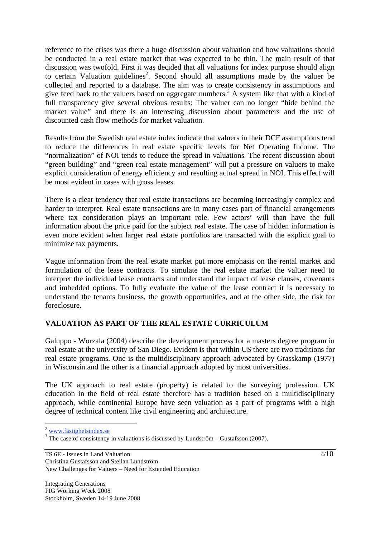reference to the crises was there a huge discussion about valuation and how valuations should be conducted in a real estate market that was expected to be thin. The main result of that discussion was twofold. First it was decided that all valuations for index purpose should align to certain Valuation guidelines<sup>2</sup>. Second should all assumptions made by the valuer be collected and reported to a database. The aim was to create consistency in assumptions and give feed back to the valuers based on aggregate numbers.<sup>3</sup> A system like that with a kind of full transparency give several obvious results: The valuer can no longer "hide behind the market value" and there is an interesting discussion about parameters and the use of discounted cash flow methods for market valuation.

Results from the Swedish real estate index indicate that valuers in their DCF assumptions tend to reduce the differences in real estate specific levels for Net Operating Income. The "normalization" of NOI tends to reduce the spread in valuations. The recent discussion about "green building" and "green real estate management" will put a pressure on valuers to make explicit consideration of energy efficiency and resulting actual spread in NOI. This effect will be most evident in cases with gross leases.

There is a clear tendency that real estate transactions are becoming increasingly complex and harder to interpret. Real estate transactions are in many cases part of financial arrangements where tax consideration plays an important role. Few actors' will than have the full information about the price paid for the subject real estate. The case of hidden information is even more evident when larger real estate portfolios are transacted with the explicit goal to minimize tax payments.

Vague information from the real estate market put more emphasis on the rental market and formulation of the lease contracts. To simulate the real estate market the valuer need to interpret the individual lease contracts and understand the impact of lease clauses, covenants and imbedded options. To fully evaluate the value of the lease contract it is necessary to understand the tenants business, the growth opportunities, and at the other side, the risk for foreclosure.

## **VALUATION AS PART OF THE REAL ESTATE CURRICULUM**

Galuppo - Worzala (2004) describe the development process for a masters degree program in real estate at the university of San Diego. Evident is that within US there are two traditions for real estate programs. One is the multidisciplinary approach advocated by Grasskamp (1977) in Wisconsin and the other is a financial approach adopted by most universities.

The UK approach to real estate (property) is related to the surveying profession. UK education in the field of real estate therefore has a tradition based on a multidisciplinary approach, while continental Europe have seen valuation as a part of programs with a high degree of technical content like civil engineering and architecture.

 $\overline{a}$ 

 $2$  www.fastighetsindex.se

 $\frac{3}{3}$  The case of consistency in valuations is discussed by Lundström – Gustafsson (2007).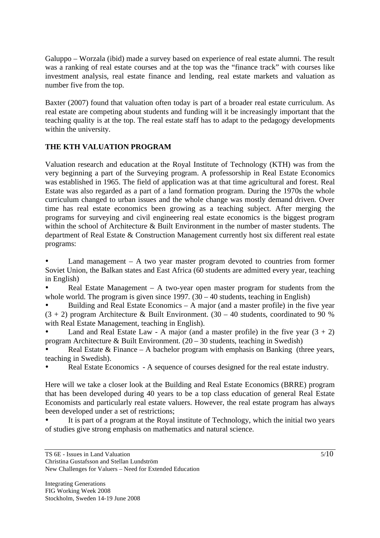Galuppo – Worzala (ibid) made a survey based on experience of real estate alumni. The result was a ranking of real estate courses and at the top was the "finance track" with courses like investment analysis, real estate finance and lending, real estate markets and valuation as number five from the top.

Baxter (2007) found that valuation often today is part of a broader real estate curriculum. As real estate are competing about students and funding will it be increasingly important that the teaching quality is at the top. The real estate staff has to adapt to the pedagogy developments within the university.

## **THE KTH VALUATION PROGRAM**

Valuation research and education at the Royal Institute of Technology (KTH) was from the very beginning a part of the Surveying program. A professorship in Real Estate Economics was established in 1965. The field of application was at that time agricultural and forest. Real Estate was also regarded as a part of a land formation program. During the 1970s the whole curriculum changed to urban issues and the whole change was mostly demand driven. Over time has real estate economics been growing as a teaching subject. After merging the programs for surveying and civil engineering real estate economics is the biggest program within the school of Architecture & Built Environment in the number of master students. The department of Real Estate & Construction Management currently host six different real estate programs:

Land management  $-$  A two year master program devoted to countries from former Soviet Union, the Balkan states and East Africa (60 students are admitted every year, teaching in English)

Real Estate Management  $- A$  two-year open master program for students from the whole world. The program is given since 1997.  $(30 - 40$  students, teaching in English)

Building and Real Estate Economics  $- A$  major (and a master profile) in the five year  $(3 + 2)$  program Architecture & Built Environment.  $(30 - 40)$  students, coordinated to 90 % with Real Estate Management, teaching in English).

Land and Real Estate Law - A major (and a master profile) in the five year  $(3 + 2)$ program Architecture & Built Environment. (20 – 30 students, teaching in Swedish)

Real Estate  $&$  Finance – A bachelor program with emphasis on Banking (three years, teaching in Swedish).

Real Estate Economics - A sequence of courses designed for the real estate industry.

Here will we take a closer look at the Building and Real Estate Economics (BRRE) program that has been developed during 40 years to be a top class education of general Real Estate Economists and particularly real estate valuers. However, the real estate program has always been developed under a set of restrictions;

It is part of a program at the Royal institute of Technology, which the initial two years of studies give strong emphasis on mathematics and natural science.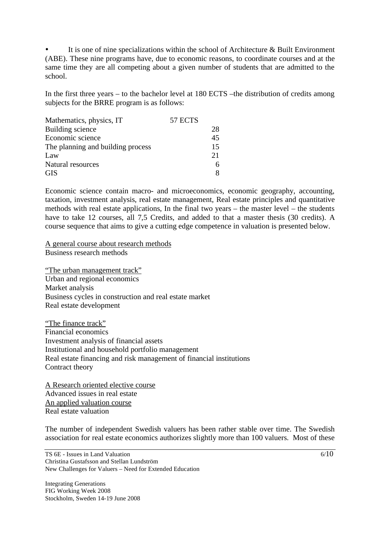It is one of nine specializations within the school of Architecture  $\&$  Built Environment (ABE). These nine programs have, due to economic reasons, to coordinate courses and at the same time they are all competing about a given number of students that are admitted to the school.

In the first three years – to the bachelor level at 180 ECTS –the distribution of credits among subjects for the BRRE program is as follows:

| Mathematics, physics, IT          | 57 ECTS |    |
|-----------------------------------|---------|----|
| Building science                  |         | 28 |
| Economic science                  |         | 45 |
| The planning and building process |         | 15 |
| Law                               |         | 21 |
| Natural resources                 |         |    |
| <b>GIS</b>                        |         |    |

Economic science contain macro- and microeconomics, economic geography, accounting, taxation, investment analysis, real estate management, Real estate principles and quantitative methods with real estate applications, In the final two years – the master level – the students have to take 12 courses, all 7,5 Credits, and added to that a master thesis (30 credits). A course sequence that aims to give a cutting edge competence in valuation is presented below.

A general course about research methods Business research methods

"The urban management track" Urban and regional economics Market analysis Business cycles in construction and real estate market Real estate development

"The finance track" Financial economics Investment analysis of financial assets Institutional and household portfolio management Real estate financing and risk management of financial institutions Contract theory

A Research oriented elective course Advanced issues in real estate An applied valuation course Real estate valuation

The number of independent Swedish valuers has been rather stable over time. The Swedish association for real estate economics authorizes slightly more than 100 valuers. Most of these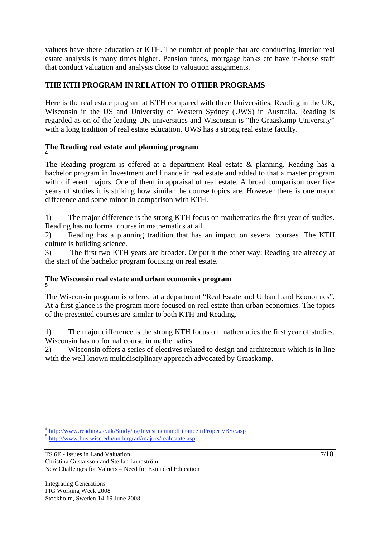valuers have there education at KTH. The number of people that are conducting interior real estate analysis is many times higher. Pension funds, mortgage banks etc have in-house staff that conduct valuation and analysis close to valuation assignments.

## **THE KTH PROGRAM IN RELATION TO OTHER PROGRAMS**

Here is the real estate program at KTH compared with three Universities; Reading in the UK, Wisconsin in the US and University of Western Sydney (UWS) in Australia. Reading is regarded as on of the leading UK universities and Wisconsin is "the Graaskamp University" with a long tradition of real estate education. UWS has a strong real estate faculty.

#### **The Reading real estate and planning program 4**

The Reading program is offered at a department Real estate & planning. Reading has a bachelor program in Investment and finance in real estate and added to that a master program with different majors. One of them in appraisal of real estate. A broad comparison over five years of studies it is striking how similar the course topics are. However there is one major difference and some minor in comparison with KTH.

1) The major difference is the strong KTH focus on mathematics the first year of studies. Reading has no formal course in mathematics at all.

2) Reading has a planning tradition that has an impact on several courses. The KTH culture is building science.

3) The first two KTH years are broader. Or put it the other way; Reading are already at the start of the bachelor program focusing on real estate.

#### **The Wisconsin real estate and urban economics program 5**

The Wisconsin program is offered at a department "Real Estate and Urban Land Economics". At a first glance is the program more focused on real estate than urban economics. The topics of the presented courses are similar to both KTH and Reading.

1) The major difference is the strong KTH focus on mathematics the first year of studies. Wisconsin has no formal course in mathematics.

2) Wisconsin offers a series of electives related to design and architecture which is in line with the well known multidisciplinary approach advocated by Graaskamp.

TS 6E - Issues in Land Valuation Christina Gustafsson and Stellan Lundström New Challenges for Valuers – Need for Extended Education

 $\overline{a}$ <sup>4</sup> http://www.reading.ac.uk/Study/ug/InvestmentandFinanceinPropertyBSc.asp 5 http://www.bus.wisc.edu/undergrad/majors/realestate.asp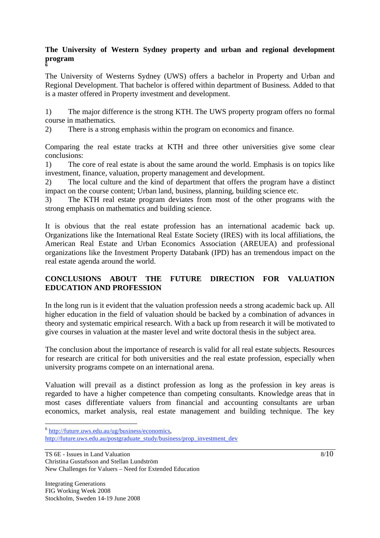#### **The University of Western Sydney property and urban and regional development program 6**

The University of Westerns Sydney (UWS) offers a bachelor in Property and Urban and Regional Development. That bachelor is offered within department of Business. Added to that is a master offered in Property investment and development.

1) The major difference is the strong KTH. The UWS property program offers no formal course in mathematics.

2) There is a strong emphasis within the program on economics and finance.

Comparing the real estate tracks at KTH and three other universities give some clear conclusions:

1) The core of real estate is about the same around the world. Emphasis is on topics like investment, finance, valuation, property management and development.

2) The local culture and the kind of department that offers the program have a distinct impact on the course content; Urban land, business, planning, building science etc.

3) The KTH real estate program deviates from most of the other programs with the strong emphasis on mathematics and building science.

It is obvious that the real estate profession has an international academic back up. Organizations like the International Real Estate Society (IRES) with its local affiliations, the American Real Estate and Urban Economics Association (AREUEA) and professional organizations like the Investment Property Databank (IPD) has an tremendous impact on the real estate agenda around the world.

## **CONCLUSIONS ABOUT THE FUTURE DIRECTION FOR VALUATION EDUCATION AND PROFESSION**

In the long run is it evident that the valuation profession needs a strong academic back up. All higher education in the field of valuation should be backed by a combination of advances in theory and systematic empirical research. With a back up from research it will be motivated to give courses in valuation at the master level and write doctoral thesis in the subject area.

The conclusion about the importance of research is valid for all real estate subjects. Resources for research are critical for both universities and the real estate profession, especially when university programs compete on an international arena.

Valuation will prevail as a distinct profession as long as the profession in key areas is regarded to have a higher competence than competing consultants. Knowledge areas that in most cases differentiate valuers from financial and accounting consultants are urban economics, market analysis, real estate management and building technique. The key

 $\overline{a}$ <sup>6</sup> http://future.uws.edu.au/ug/business/economics,

http://future.uws.edu.au/postgraduate\_study/business/prop\_investment\_dev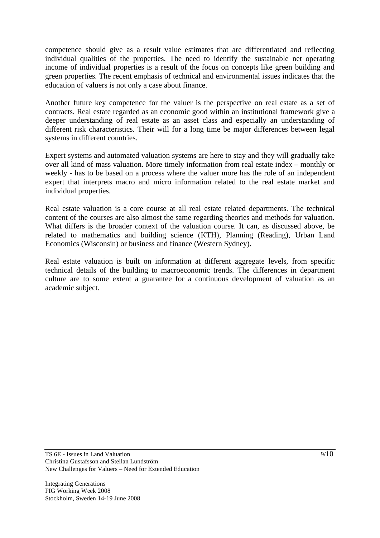competence should give as a result value estimates that are differentiated and reflecting individual qualities of the properties. The need to identify the sustainable net operating income of individual properties is a result of the focus on concepts like green building and green properties. The recent emphasis of technical and environmental issues indicates that the education of valuers is not only a case about finance.

Another future key competence for the valuer is the perspective on real estate as a set of contracts. Real estate regarded as an economic good within an institutional framework give a deeper understanding of real estate as an asset class and especially an understanding of different risk characteristics. Their will for a long time be major differences between legal systems in different countries.

Expert systems and automated valuation systems are here to stay and they will gradually take over all kind of mass valuation. More timely information from real estate index – monthly or weekly - has to be based on a process where the valuer more has the role of an independent expert that interprets macro and micro information related to the real estate market and individual properties.

Real estate valuation is a core course at all real estate related departments. The technical content of the courses are also almost the same regarding theories and methods for valuation. What differs is the broader context of the valuation course. It can, as discussed above, be related to mathematics and building science (KTH), Planning (Reading), Urban Land Economics (Wisconsin) or business and finance (Western Sydney).

Real estate valuation is built on information at different aggregate levels, from specific technical details of the building to macroeconomic trends. The differences in department culture are to some extent a guarantee for a continuous development of valuation as an academic subject.